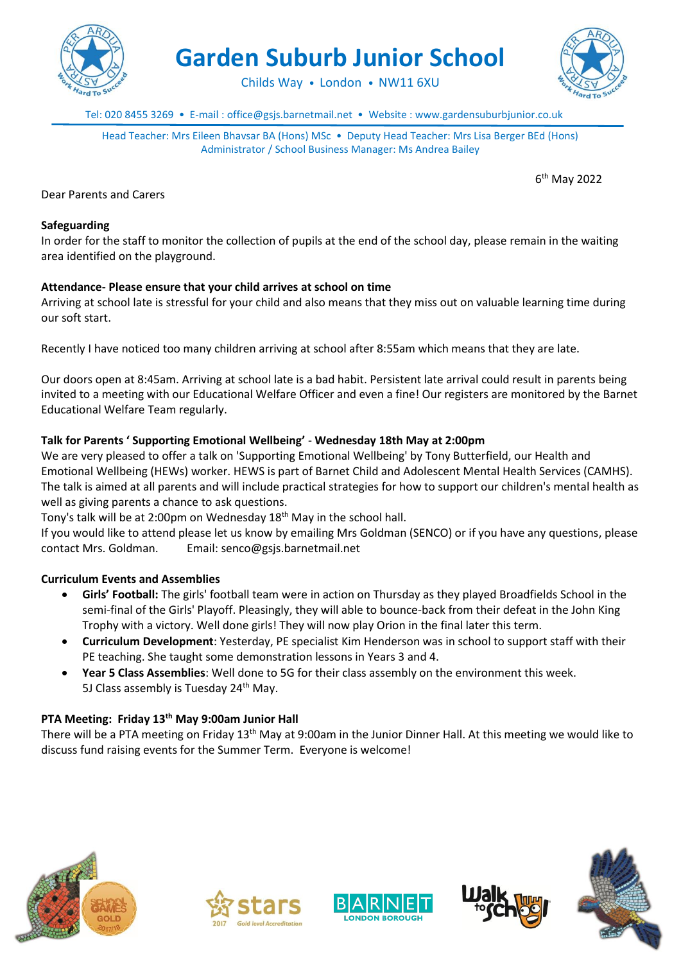

**Garden Suburb Junior School**

Childs Way • London • NW11 6XU

Tel: 020 8455 3269 • E-mail : office@gsjs.barnetmail.net • Website : www.gardensuburbjunior.co.uk

Head Teacher: Mrs Eileen Bhavsar BA (Hons) MSc • Deputy Head Teacher: Mrs Lisa Berger BEd (Hons) Administrator / School Business Manager: Ms Andrea Bailey

6 th May 2022

Dear Parents and Carers

### **Safeguarding**

In order for the staff to monitor the collection of pupils at the end of the school day, please remain in the waiting area identified on the playground.

# **Attendance- Please ensure that your child arrives at school on time**

Arriving at school late is stressful for your child and also means that they miss out on valuable learning time during our soft start.

Recently I have noticed too many children arriving at school after 8:55am which means that they are late.

Our doors open at 8:45am. Arriving at school late is a bad habit. Persistent late arrival could result in parents being invited to a meeting with our Educational Welfare Officer and even a fine! Our registers are monitored by the Barnet Educational Welfare Team regularly.

# **Talk for Parents ' Supporting Emotional Wellbeing'** - **Wednesday 18th May at 2:00pm**

We are very pleased to offer a talk on 'Supporting Emotional Wellbeing' by Tony Butterfield, our Health and Emotional Wellbeing (HEWs) worker. HEWS is part of Barnet Child and Adolescent Mental Health Services (CAMHS). The talk is aimed at all parents and will include practical strategies for how to support our children's mental health as well as giving parents a chance to ask questions.

Tony's talk will be at 2:00pm on Wednesday 18th May in the school hall.

If you would like to attend please let us know by emailing Mrs Goldman (SENCO) or if you have any questions, please contact Mrs. Goldman. Email: senco@gsjs.barnetmail.net

### **Curriculum Events and Assemblies**

- **Girls' Football:** The girls' football team were in action on Thursday as they played Broadfields School in the semi-final of the Girls' Playoff. Pleasingly, they will able to bounce-back from their defeat in the John King Trophy with a victory. Well done girls! They will now play Orion in the final later this term.
- **Curriculum Development**: Yesterday, PE specialist Kim Henderson was in school to support staff with their PE teaching. She taught some demonstration lessons in Years 3 and 4.
- **Year 5 Class Assemblies**: Well done to 5G for their class assembly on the environment this week. 5J Class assembly is Tuesday  $24<sup>th</sup>$  May.

# **PTA Meeting: Friday 13th May 9:00am Junior Hall**

There will be a PTA meeting on Friday 13th May at 9:00am in the Junior Dinner Hall. At this meeting we would like to discuss fund raising events for the Summer Term. Everyone is welcome!